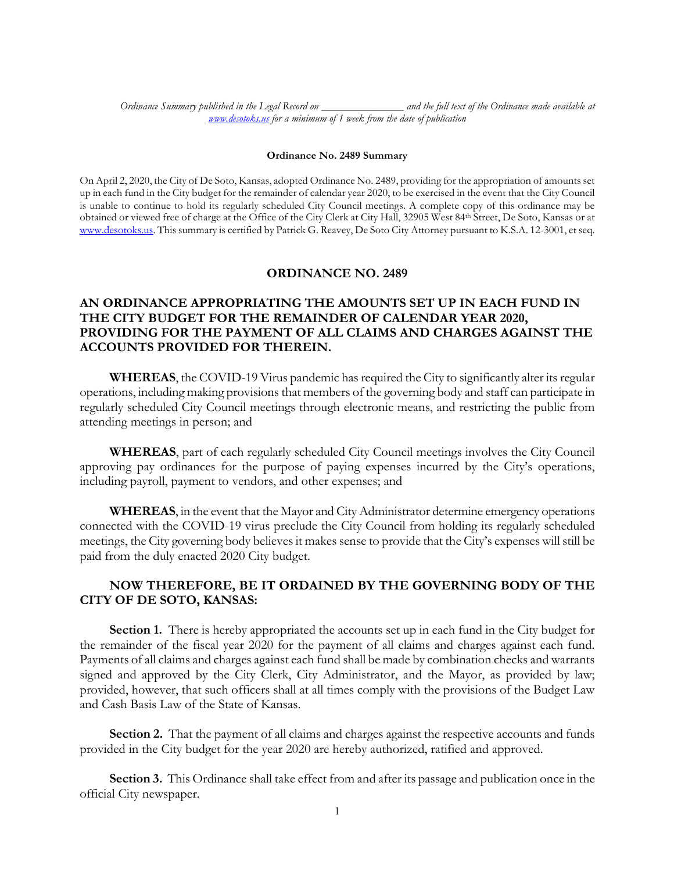*Ordinance Summary published in the Legal Record on \_\_\_\_\_\_\_\_\_\_\_\_\_\_\_ and the full text of the Ordinance made available at www.desotoks.us for a minimum of 1 week from the date of publication*

## **Ordinance No. 2489 Summary**

On April 2, 2020, the City of De Soto, Kansas, adopted Ordinance No. 2489, providing for the appropriation of amounts set up in each fund in the City budget for the remainder of calendar year 2020, to be exercised in the event that the City Council is unable to continue to hold its regularly scheduled City Council meetings. A complete copy of this ordinance may be obtained or viewed free of charge at the Office of the City Clerk at City Hall, 32905 West 84th Street, De Soto, Kansas or at www.desotoks.us. This summary is certified by Patrick G. Reavey, De Soto City Attorney pursuant to K.S.A. 12-3001, et seq.

## **ORDINANCE NO. 2489**

## **AN ORDINANCE APPROPRIATING THE AMOUNTS SET UP IN EACH FUND IN THE CITY BUDGET FOR THE REMAINDER OF CALENDAR YEAR 2020, PROVIDING FOR THE PAYMENT OF ALL CLAIMS AND CHARGES AGAINST THE ACCOUNTS PROVIDED FOR THEREIN.**

**WHEREAS**, the COVID-19 Virus pandemic has required the City to significantly alter its regular operations, including making provisions that members of the governing body and staff can participate in regularly scheduled City Council meetings through electronic means, and restricting the public from attending meetings in person; and

**WHEREAS**, part of each regularly scheduled City Council meetings involves the City Council approving pay ordinances for the purpose of paying expenses incurred by the City's operations, including payroll, payment to vendors, and other expenses; and

**WHEREAS**, in the event that the Mayor and City Administrator determine emergency operations connected with the COVID-19 virus preclude the City Council from holding its regularly scheduled meetings, the City governing body believes it makes sense to provide that the City's expenses will still be paid from the duly enacted 2020 City budget.

## **NOW THEREFORE, BE IT ORDAINED BY THE GOVERNING BODY OF THE CITY OF DE SOTO, KANSAS:**

**Section 1.** There is hereby appropriated the accounts set up in each fund in the City budget for the remainder of the fiscal year 2020 for the payment of all claims and charges against each fund. Payments of all claims and charges against each fund shall be made by combination checks and warrants signed and approved by the City Clerk, City Administrator, and the Mayor, as provided by law; provided, however, that such officers shall at all times comply with the provisions of the Budget Law and Cash Basis Law of the State of Kansas.

**Section 2.** That the payment of all claims and charges against the respective accounts and funds provided in the City budget for the year 2020 are hereby authorized, ratified and approved.

**Section 3.** This Ordinance shall take effect from and after its passage and publication once in the official City newspaper.